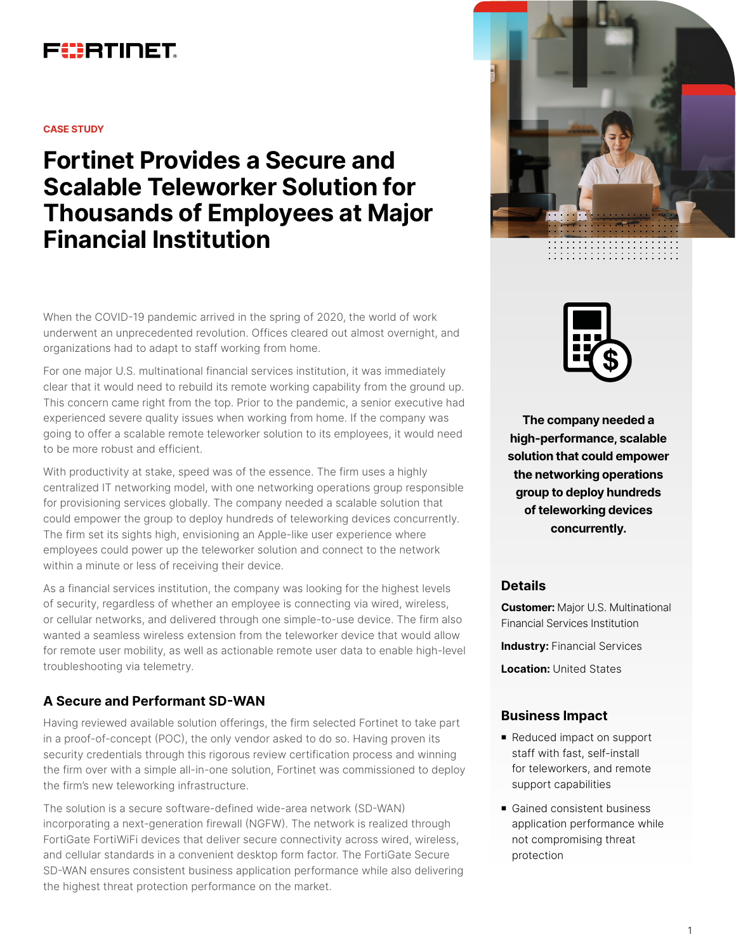## FURTINET

#### **CASE STUDY**

**Fortinet Provides a Secure and Scalable Teleworker Solution for Thousands of Employees at Major Financial Institution**

When the COVID-19 pandemic arrived in the spring of 2020, the world of work underwent an unprecedented revolution. Offices cleared out almost overnight, and organizations had to adapt to staff working from home.

For one major U.S. multinational financial services institution, it was immediately clear that it would need to rebuild its remote working capability from the ground up. This concern came right from the top. Prior to the pandemic, a senior executive had experienced severe quality issues when working from home. If the company was going to offer a scalable remote teleworker solution to its employees, it would need to be more robust and efficient.

With productivity at stake, speed was of the essence. The firm uses a highly centralized IT networking model, with one networking operations group responsible for provisioning services globally. The company needed a scalable solution that could empower the group to deploy hundreds of teleworking devices concurrently. The firm set its sights high, envisioning an Apple-like user experience where employees could power up the teleworker solution and connect to the network within a minute or less of receiving their device.

As a financial services institution, the company was looking for the highest levels of security, regardless of whether an employee is connecting via wired, wireless, or cellular networks, and delivered through one simple-to-use device. The firm also wanted a seamless wireless extension from the teleworker device that would allow for remote user mobility, as well as actionable remote user data to enable high-level troubleshooting via telemetry.

### **A Secure and Performant SD-WAN**

Having reviewed available solution offerings, the firm selected Fortinet to take part in a proof-of-concept (POC), the only vendor asked to do so. Having proven its security credentials through this rigorous review certification process and winning the firm over with a simple all-in-one solution, Fortinet was commissioned to deploy the firm's new teleworking infrastructure.

The solution is a secure software-defined wide-area network (SD-WAN) incorporating a next-generation firewall (NGFW). The network is realized through FortiGate FortiWiFi devices that deliver secure connectivity across wired, wireless, and cellular standards in a convenient desktop form factor. The FortiGate Secure SD-WAN ensures consistent business application performance while also delivering the highest threat protection performance on the market.





**The company needed a high-performance, scalable solution that could empower the networking operations group to deploy hundreds of teleworking devices concurrently.**

#### **Details**

**Customer:** Major U.S. Multinational Financial Services Institution **Industry: Financial Services Location:** United States

#### **Business Impact**

- Reduced impact on support staff with fast, self-install for teleworkers, and remote support capabilities
- Gained consistent business application performance while not compromising threat protection